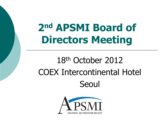# **2nd APSMI Board of Directors Meeting**

# 18th October 2012 COEX Intercontinental Hotel Seoul

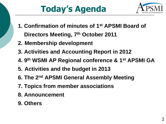# **Today's Agenda**



- **1. Confirmation of minutes of 1st APSMI Board of Directors Meeting, 7th October 2011**
- **2. Membership development**
- **3. Activities and Accounting Report in 2012**
- **4. 9th WSMI AP Regional conference & 1st APSMI GA**
- **5. Activities and the budget in 2013**
- **6. The 2nd APSMI General Assembly Meeting**
- **7. Topics from member associations**
- **8. Announcement**
- **9. Others**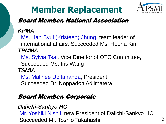# **Member Replacement**



#### Board Member, National Association

#### *KPMA*

Ms. Han Byul (Kristeen) Jhung, team leader of international affairs: Succeeded Ms. Heeha Kim *TPMMA*

 Ms. Sylvia Tsai, Vice Director of OTC Committee, Succeeded Ms. Iris Wang

#### *TSMIA*

 Ms. Malinee Uditananda, President, Succeeded Dr. Noppadon Adjimatera

#### Board Member, Corporate

#### *Daiichi-Sankyo HC*

Mr. Yoshiki Nishii, new President of Daiichi-Sankyo HC Succeeded Mr. Toshio Takahashi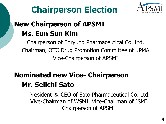

## **New Chairperson of APSMI Ms. Eun Sun Kim**

Chairperson of Boryung Pharmaceutical Co. Ltd. Chairman, OTC Drug Promotion Committee of KPMA Vice-Chairperson of APSMI

### **Nominated new Vice- Chairperson Mr. Seiichi Sato**

President & CEO of Sato Pharmaceutical Co. Ltd. Vive-Chairman of WSMI, Vice-Chairman of JSMI Chairperson of APSMI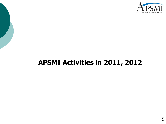

### **APSMI Activities in 2011, 2012**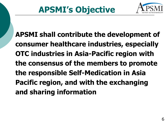

**APSMI shall contribute the development of consumer healthcare industries, especially OTC industries in Asia-Pacific region with the consensus of the members to promote the responsible Self-Medication in Asia Pacific region, and with the exchanging and sharing information**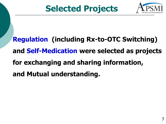

**Regulation (including Rx-to-OTC Switching) and Self-Medication were selected as projects for exchanging and sharing information, and Mutual understanding.**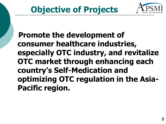

 **Promote the development of consumer healthcare industries, especially OTC industry, and revitalize OTC market through enhancing each country's Self-Medication and optimizing OTC regulation in the Asia-Pacific region.**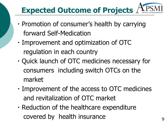# **Expected Outcome of Projects**

- ・Promotion of consumer's health by carrying forward Self-Medication
- ・Improvement and optimization of OTC regulation in each country
- ・Quick launch of OTC medicines necessary for consumers including switch OTCs on the market
- ・Improvement of the access to OTC medicines and revitalization of OTC market
- ・Reduction of the healthcare expenditure covered by health insurance  $\frac{9}{9}$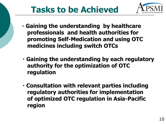# **Tasks to be Achieved**



- ・**Gaining the understanding by healthcare professionals and health authorities for promoting Self-Medication and using OTC medicines including switch OTCs**
- ・**Gaining the understanding by each regulatory authority for the optimization of OTC regulation**
- ・**Consultation with relevant parties including regulatory authorities for implementation of optimized OTC regulation in Asia-Pacific region**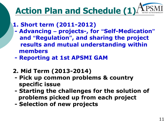# **Action Plan and Schedule (1)**

- **1. Short term (2011-2012)**
- **- Advancing – projects-, for "Self-Medication" and "Regulation", and sharing the project results and mutual understanding within members**
- **- Reporting at 1st APSMI GAM**
- **2. Mid Term (2013-2014)**
	- **- Pick up common problems & country specific issue**
- **- Starting the challenges for the solution of problems picked up from each project**
- **- Selection of new projects**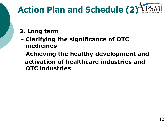

#### **3. Long term**

- **- Clarifying the significance of OTC medicines**
- **- Achieving the healthy development and activation of healthcare industries and OTC industries**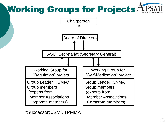# Working Groups for Projects $\bigtriangleup$



\*Successor: JSMI, TPMMA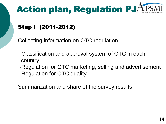

#### Step I (2011-2012)

Collecting information on OTC regulation

- -Classification and approval system of OTC in each country
- -Regulation for OTC marketing, selling and advertisement -Regulation for OTC quality

Summarization and share of the survey results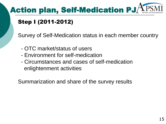# Action plan, Self-Medication PJ

#### Step I (2011-2012)

Survey of Self-Medication status in each member country

- OTC market/status of users
- Environment for self-medication
- Circumstances and cases of self-medication enlightenment activities

Summarization and share of the survey results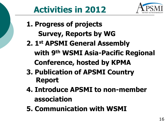# **Activities in 2012**

- **1. Progress of projects Survey, Reports by WG**
- **2. 1st APSMI General Assembly with 9th WSMI Asia-Pacific Regional Conference, hosted by KPMA**
- **3. Publication of APSMI Country Report**
- **4. Introduce APSMI to non-member association**
- **5. Communication with WSMI**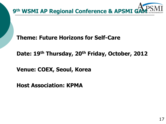

**Theme: Future Horizons for Self-Care**

**Date: 19th Thursday, 20th Friday, October, 2012** 

**Venue: COEX, Seoul, Korea**

**Host Association: KPMA**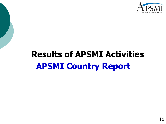

# **Results of APSMI Activities APSMI Country Report**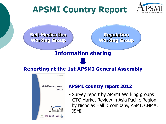

## **APSMI Country Report**

**Self-Medication Working Group**

**Regulation Working Group**

#### **Information sharing**

#### **Reporting at the 1st APSMI General Assembly**



#### **APSMI country report 2012**

- Survey report by APSMI Working groups
- OTC Market Review in Asia Pacific Region by Nicholas Hall & company, ASMI, CNMA, JSMI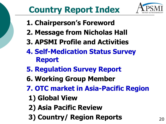

# **Country Report Index**

- **1. Chairperson's Foreword**
- **2. Message from Nicholas Hall**
- **3. APSMI Profile and Activities**
- **4. Self-Medication Status Survey Report**
- **5. Regulation Survey Report**
- **6. Working Group Member**
- **7. OTC market in Asia-Pacific Region**
	- **1) Global View**
	- **2) Asia Pacific Review**
- **3) Country/ Region Reports** 20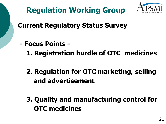

### **Regulation Working Group**

**Current Regulatory Status Survey**

- **- Focus Points -**
	- **1. Registration hurdle of OTC medicines**
	- **2. Regulation for OTC marketing, selling and advertisement**
	- **3. Quality and manufacturing control for OTC medicines**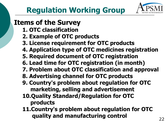

#### **Items of the Survey**

- **1. OTC classification**
- **2. Example of OTC products**
- **3. License requirement for OTC products**
- **4. Application type of OTC medicines registration**
- **5. Required document of OTC registration**
- **6. Lead time for OTC registration (in month)**
- **7. Problem about OTC classification and approval**
- **8. Advertising channel for OTC products**
- **9. Country's problem about regulation for OTC marketing, selling and advertisement**
- **10.Quality Standard/Regulation for OTC products**
- **11.Country's problem about regulation for OTC quality and manufacturing control** 22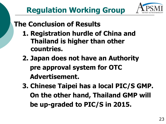### **The Conclusion of Results**

- **1. Registration hurdle of China and Thailand is higher than other countries.**
- **2. Japan does not have an Authority pre approval system for OTC Advertisement.**
- **3. Chinese Taipei has a local PIC/S GMP. On the other hand, Thailand GMP will be up-graded to PIC/S in 2015.**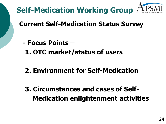

### **Current Self-Medication Status Survey**

- **- Focus Points –**
	- **1. OTC market/status of users**
	- **2. Environment for Self-Medication**
	- **3. Circumstances and cases of Self- Medication enlightenment activities**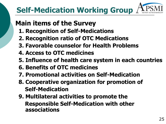# **Self-Medication Working Group**

### **Main items of the Survey**

- **1. Recognition of Self-Medications**
- **2. Recognition ratio of OTC Medications**
- **3. Favorable counselor for Health Problems**
- **4. Access to OTC medicines**
- **5. Influence of health care system in each countries**
- **6. Benefits of OTC medicines**
- **7. Promotional activities on Self-Medication**
- **8. Cooperative organization for promotion of Self-Medication**
- **9. Multilateral activities to promote the Responsible Self-Medication with other associations**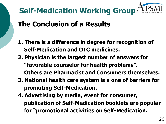

### **The Conclusion of a Results**

- **1. There is a difference in degree for recognition of Self-Medication and OTC medicines.**
- **2. Physician is the largest number of answers for "favorable counselor for health problems". Others are Pharmacist and Consumers themselves.**
- **3. National health care system is a one of barriers for promoting Self-Medication.**
- **4. Advertising by media, event for consumer, publication of Self-Medication booklets are popular for "promotional activities on Self-Medication.**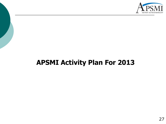

### **APSMI Activity Plan For 2013**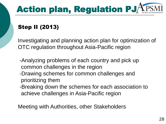

#### Step II (2013)

Investigating and planning action plan for optimization of OTC regulation throughout Asia-Pacific region

- -Analyzing problems of each country and pick up common challenges in the region
- -Drawing schemes for common challenges and prioritizing them
- -Breaking down the schemes for each association to achieve challenges in Asia-Pacific region

Meeting with Authorities, other Stakeholders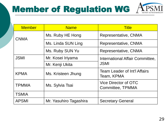# Member of Regulation WG  $AP<sub>3</sub>$



| <b>Member</b> | <b>Name</b>            | <b>Title</b>                                      |  |  |
|---------------|------------------------|---------------------------------------------------|--|--|
| <b>CNMA</b>   | Ms. Ruby HE Hong       | Representative, CNMA                              |  |  |
|               | Ms. Linda SUN Ling     | Representative, CNMA                              |  |  |
|               | Ms. Ruby SUN Yu        | Representative, CNMA                              |  |  |
| <b>JSMI</b>   | Mr. Kosei Iriyama      | International Affair Committee,                   |  |  |
|               | Mr. Kenji Ukita        | <b>JSMI</b>                                       |  |  |
| <b>KPMA</b>   | Ms. Kristeen Jhung     | <b>Team Leader of Int'l Affairs</b><br>Team, KPMA |  |  |
| <b>TPMMA</b>  | Ms. Sylvia Tsai        | Vice Director of OTC<br>Committee, TPMMA          |  |  |
| <b>TSMIA</b>  |                        |                                                   |  |  |
| <b>APSMI</b>  | Mr. Yasuhiro Tagashira | <b>Secretary General</b>                          |  |  |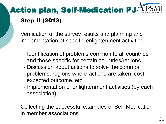

#### Step II (2013)

Verification of the survey results and planning and implementation of specific enlightenment activities

- Identification of problems common to all countries and those specific for certain countries/regions
- Discussion about actions to solve the common problems, regions where actions are taken, cost, expected outcome, etc.
- Implementation of enlightenment activities (by each association)

Collecting the successful examples of Self-Medication in member associations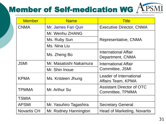# **Member of Self-medication WG APSMI**

| <b>Member</b>      | <b>Name</b>            | <b>Title</b>                                         |  |  |
|--------------------|------------------------|------------------------------------------------------|--|--|
| <b>CNMA</b>        | Mr. James Fan Qun      | <b>Executive Director, CNMA</b>                      |  |  |
|                    | Mr. Wenhu ZHANG        |                                                      |  |  |
|                    | Ms. Ruby Sun           | Representative, CNMA                                 |  |  |
|                    | Ms. Nina Liu           |                                                      |  |  |
|                    | Ms. Zheng Bo           | International Affair<br>Department, CNMA             |  |  |
| <b>JSMI</b>        | Mr. Masatoshi Nakamura | <b>International Affair</b>                          |  |  |
|                    | Mr. Shin Inoue         | Committee, JSMI                                      |  |  |
| <b>KPMA</b>        | Ms. Kristeen Jhung     | Leader of International<br>Affairs Team, KPMA        |  |  |
| <b>TPMMA</b>       | Mr. Arthur Su          | <b>Assistant Director of OTC</b><br>Committee, TPMMA |  |  |
| <b>TSMIA</b>       |                        |                                                      |  |  |
| <b>APSMI</b>       | Mr. Yasuhiro Tagashira | <b>Secretary General</b>                             |  |  |
| <b>Novartis CH</b> | Mr. Rodney Hannington  | <b>Head of Marketing, Novartis</b>                   |  |  |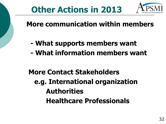

# **Other Actions in 2013**

**More communication within members**

- **- What supports members want**
- **- What information members want**

**More Contact Stakeholders e.g. International organization Authorities Healthcare Professionals**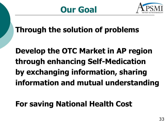

**Through the solution of problems**

**Develop the OTC Market in AP region through enhancing Self-Medication by exchanging information, sharing information and mutual understanding**

## **For saving National Health Cost**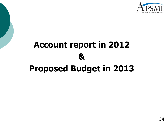

# **Account report in 2012 & Proposed Budget in 2013**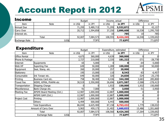# Account Repot in 2012



| <b>Income</b> |             | <b>Budget</b> |           | Income, actual |           | <b>Difference</b> |           |
|---------------|-------------|---------------|-----------|----------------|-----------|-------------------|-----------|
| Item          | <b>Note</b> | in US\$       | in JPY    | in US\$        | in JPY    | in US\$           | in JPY    |
| Annual Due    |             | 71,295        | 5,489,715 | 71,295         | 5,532,872 |                   | 43,157    |
| Carry Over    |             | 20,712        | 1,594,858 | 37,250         | 2,890,608 | 16,538            | 1,295,750 |
| Interest etc. |             |               |           | 10             | 785       | 10                | 785       |
|               | Total       | 92,007        | 7,084,573 | 108,555        | 8,424,265 | 16,548            | 1,339,692 |
| Exchange Rate | 1US\$       |               | 77JPY     |                | 77.6JPY   |                   | 77.6JPY   |

| <b>Expenditure</b>       |                            |               |           |                        |           |                   |            |
|--------------------------|----------------------------|---------------|-----------|------------------------|-----------|-------------------|------------|
|                          |                            | <b>Budget</b> |           | Expenditure, estimated |           | <b>Difference</b> |            |
| Item                     | <b>Note</b>                | in US\$       | in JPY    | in US\$                | in JPY    | in US\$           | in JPY     |
| <b>Office Rental</b>     |                            | 4,675         | 360,000   | 4,639                  | 360,000   |                   |            |
| Phone & Postage          |                            | 2,727         | 210,000   | 2,335                  | 181,222   | $-371$            | $-28,778$  |
| Internet                 | Equipments                 | 65            | 5,000     |                        |           | $-64$             | $-5,000$   |
| Web HP                   | Suporting Fee              | 649           | 50,000    | 1,289                  | 100,000   | 644               | 50,000     |
| Equipment                | Seal, Stanp, etc.          | 260           | 20,000    | 257                    | 20,000    |                   |            |
| Stationery               |                            | 195           | 15,000    | 110                    | 8,543     | $-83$             | $-6,457$   |
| Consumable               | Ink Tonaer etc.            | 649           | 50,000    | 320                    | 24,830    | $-324$            | $-25,170$  |
| Printing                 | Business Card etc.         | 758           | 58,400    | 4,436                  | 344,200   | 3,683             | 285,800    |
| Travel Fee               | WSMI, KPMA, PhAMA etc      | 30,519        | 2,350,000 | 26,696                 | 2,071,587 | $-3,588$          | $-278,413$ |
| Transportation           | Shipping Charge            |               |           | 1,933                  | 150,000   | 1,932             | 150,000    |
| Miscellaneous            | Bank Charge etc.           | 91            | 7,000     | 39                     | 3,050     | $-51$             | $-3,950$   |
| Meeting Fee              | APSMI Board Meeting (Oct.) | 12,987        | 1,000,000 | 12,887                 | 1,000,000 |                   |            |
|                          | APSMI GAM (Oct.)           | 12,987        | 1,000,000 | 12,887                 | 1,000,000 |                   |            |
| Project Cost             | Printing                   | 12,987        | 1,000,000 | 12,887                 | 1,000,000 |                   |            |
| Others                   |                            | 6,494         | 500,000   | 6,443                  | 500,000   |                   |            |
| <b>Total Expenditure</b> |                            | 86,044        | 6,625,400 | 87,158                 | 6,763,432 | 1,779             | 138,032    |
| Amount of Carry Over     |                            | 5,963         | 459,173   | 21,402                 | 1,660,833 | 15,486            | 1,201,660  |
| Total                    |                            | 92,007        | 7,084,573 | 108,560                | 8,424,265 | 17,264            | 1,339,692  |
|                          | 1US\$<br>Exchange Rate     |               | 77JPY     |                        | 77.6JPY   |                   | 77.6JPY    |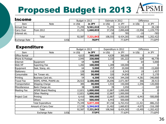# Proposed Budget in 2013  $A$

| <b>Income</b> |                  | Budget in 2013 |              | Estimate in 2012 |           | <b>Difference</b> |              |
|---------------|------------------|----------------|--------------|------------------|-----------|-------------------|--------------|
| Item          | <b>Note</b>      | in US\$        | in JPY       | in US\$          | in JPY    | in US\$           | in JPY       |
| Annual Due    |                  | 71,295         | 5,561,010    | 71,295           | 5,532,872 |                   | 28,138       |
| Carry Over    | <b>From 2012</b> | 21,292         | 1,660,833    | 37,250           | 2,890,608 | $-15,958$         | $-1,229,775$ |
| Interest etc. |                  |                |              |                  | 785       | -10               | $-785$       |
|               | Total            | 92,587         | 7,221,843    | 108,555          | 8,424,265 | $-15,968$         | 1,202,422    |
| Exchange Rate | 1US\$            |                | <b>78JPY</b> |                  | 77.6JPY   |                   | 77.6JPY      |

#### **Expenditure**

| ЕЛРОПИТИТ У              |                            | Budget in 2013 |           | Expenditure in 2012 |           | <b>Difference</b> |              |
|--------------------------|----------------------------|----------------|-----------|---------------------|-----------|-------------------|--------------|
| Item                     | Note                       | in US\$        | in JPY    | in US\$             | in JPY    | in US\$           | in JPY       |
| Office Rental            |                            | 4,615          | 360,000   | 4,639               | 360,000   |                   |              |
| Phone & Postage          |                            | 2,945          | 230,000   | 2,335               | 181,222   | 629               | 48,778       |
| Internet                 | Equipment                  | 64             | 5,000     |                     |           | 64                | 5,000        |
| Web HP                   | Suporting Fee              | 1,282          | 100,000   | 1,289               | 100,000   |                   |              |
| Equipment                | Seal, Stanp, etc.          | 64             | 5,000     | 257                 | 20,000    | $-193$            | $-15,000$    |
| Stationery               |                            | 128            | 10,000    | 110                 | 8,543     | 19                | 1,457        |
| Consumable               | Ink Tonaer etc.            | 385            | 30,000    | 320                 | 24,830    | 67                | 5,170        |
| Printing                 | Business Card etc.         | 54             | 4,200     | 4,436               | 344,200   | $-4,381$          | $-340,000$   |
| <b>Travel Fee</b>        | WSMI, KPMA, PhAMA etc      | 26,923         | 2,100,000 | 26,696              | 2,071,587 | 366               | 28,413       |
| Transportation           | Shipping Charge            | 385            | 30,000    | 1,933               | 150,000   | $-1,546$          | $-120,000$   |
| Miscellaneous            | Bank Charge etc.           | 38             | 3,000     | 39                  | 3,050     |                   | $-50$        |
| Meeting Fee              | <b>APSMI Board Meeting</b> | 12,821         | 1,000,000 | 12,887              | 1,000,000 |                   |              |
|                          | Other Meeting              | 12,821         | 1,000,000 | 12,887              | 1,000,000 |                   |              |
| Project Cost             | Printing                   | 6,410          | 500,000   | 12,887              | 1,000,000 | $-6,443$          | $-500,000$   |
| <b>Others</b>            |                            | 6,410          | 500,000   | 6,443               | 500,000   |                   |              |
| <b>Total Expenditure</b> |                            | 75,349         | 5,877,200 | 87,158              | 6,763,432 | $-11,421$         | $-886,232$   |
| Amount of Carry Over     |                            | 17,239         | 1,344,643 | 21,402              | 1,660,833 | $-4,075$          | $-316,190$   |
| Total                    |                            | 92,587         | 7,221,843 | 108,560             | 8,424,265 | $-15,495$         | $-1,202,422$ |
|                          | 1US\$<br>Exchange Rate     |                | 77JPY     |                     | 77.6JPY   |                   | 77.6JPY      |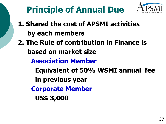

# **Principle of Annual Due**

- **1. Shared the cost of APSMI activities by each members 2. The Rule of contribution in Finance is based on market size Association Member Equivalent of 50% WSMI annual fee in previous year Corporate Member**
	- **US\$ 3,000**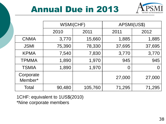## Annual Due in 2013



|                      | WSMI(CHF)    |         | APSMI(US\$) |        |
|----------------------|--------------|---------|-------------|--------|
|                      | 2010<br>2011 |         | 2011        | 2012   |
| <b>CNMA</b>          | 3,770        | 15,660  | 1,885       | 1,885  |
| <b>JSMI</b>          | 75,390       | 78,330  | 37,695      | 37,695 |
| <b>KPMA</b>          | 7,540        | 7,830   | 3,770       | 3,770  |
| <b>TPMMA</b>         | 1,890        | 1,970   | 945         | 945    |
| <b>TSMIA</b>         | 1,890        | 1,970   | O           | O      |
| Corporate<br>Member* |              |         | 27,000      | 27,000 |
| Total                | 90,480       | 105,760 | 71,295      | 71,295 |

1CHF: equivalent to 1US\$(2010)

\*Nine corporate members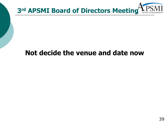

### **Not decide the venue and date now**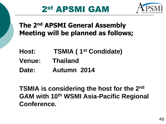## 2st APSMI GAM



### **The 2nd APSMI General Assembly Meeting will be planned as follows;**

- **Host: TSMIA ( 1st Condidate)**
- **Venue: Thailand**
- **Date: Autumn 2014**

**TSMIA is considering the host for the 2nd GAM with 10th WSMI Asia-Pacific Regional Conference.**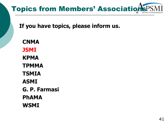# **Topics from Members' Association**

**If you have topics, please inform us.**

 **CNMA JSMI KPMA TPMMA TSMIA ASMI G. P. Farmasi PhAMA WSMI**